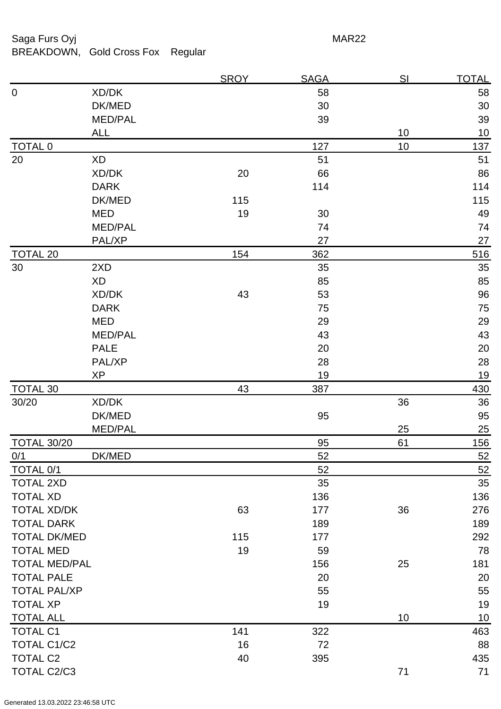Saga Furs Oyj **MAR22** 

BREAKDOWN, Gold Cross Fox Regular

0 XD/DK 58 58  $DK/MED$  30 30 MED/PAL 39 39 ALL 10 10 TOTAL 0 137 10 137 20 XD 51 51 XD/DK 20 66 86 **DARK** 114 114 DK/MED 115 115 MED 19 30 49 MED/PAL 24 PAL/XP 27 27 TOTAL 20 362 516 30 2XD 35 35  $\boldsymbol{\mathsf{XD}}$  85 85 XD/DK 43 53 96 DARK 75 75 MED 29 29  $\mathsf{MED/PAL}$  and  $\mathsf{43}$  and  $\mathsf{43}$ PALE 20 20 PAL/XP 28 28  $XP$  and the contract of the contract of the contract of the contract of the contract of the contract of the contract of the contract of the contract of the contract of the contract of the contract of the contract of the c TOTAL 30 43 43 387 430 30/20 XD/DK 36 36 DK/MED 95 95 MED/PAL 25 25 TOTAL 30/20 85 61 61 0/1 DK/MED 52 52 TOTAL 0/1 52 TOTAL 2XD 35 TOTAL XD 136 TOTAL XD/DK 177 36 276 TOTAL DARK 189 189 TOTAL DK/MED 115 177 292 TOTAL MED 19 59 59 78 TOTAL MED/PAL 156 25 181 TOTAL PALE 20 20 20 TOTAL PAL/XP 55 TOTAL XP 19 19 TOTAL ALL 10 10 TOTAL C1 2002 2003 22 2 2 2 2 322 463 TOTAL C1/C2 88 TOTAL C2 40 395 435 TOTAL C2/C3 71 71

SROY SAGA SI TOTAL